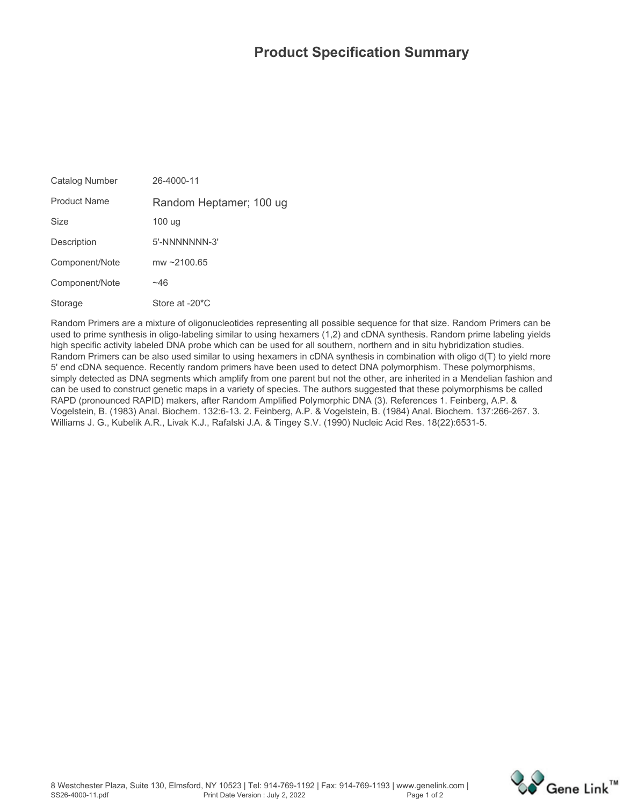## **Product Specification Summary**

| Catalog Number      | 26-4000-11                  |
|---------------------|-----------------------------|
| <b>Product Name</b> | Random Heptamer; 100 ug     |
| Size                | 100 ug                      |
| Description         | 5'-NNNNNNN-3'               |
| Component/Note      | mw $\sim$ 2100.65           |
| Component/Note      | ~46                         |
| Storage             | Store at -20 <sup>*</sup> C |

**Random Primers are a mixture of oligonucleotides representing all possible sequence for that size. Random Primers can be used to prime synthesis in oligo-labeling similar to using hexamers (1,2) and cDNA synthesis. Random prime labeling yields high specific activity labeled DNA probe which can be used for all southern, northern and in situ hybridization studies. Random Primers can be also used similar to using hexamers in cDNA synthesis in combination with oligo d(T) to yield more 5' end cDNA sequence. Recently random primers have been used to detect DNA polymorphism. These polymorphisms, simply detected as DNA segments which amplify from one parent but not the other, are inherited in a Mendelian fashion and can be used to construct genetic maps in a variety of species. The authors suggested that these polymorphisms be called RAPD (pronounced RAPID) makers, after Random Amplified Polymorphic DNA (3). References 1. Feinberg, A.P. & Vogelstein, B. (1983) Anal. Biochem. 132:6-13. 2. Feinberg, A.P. & Vogelstein, B. (1984) Anal. Biochem. 137:266-267. 3. Williams J. G., Kubelik A.R., Livak K.J., Rafalski J.A. & Tingey S.V. (1990) Nucleic Acid Res. 18(22):6531-5.**